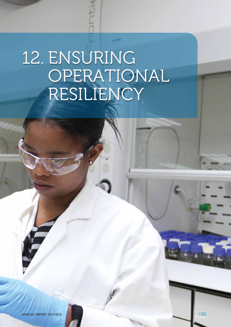# 12. ENSURING OPERATIONAL RESILIENCY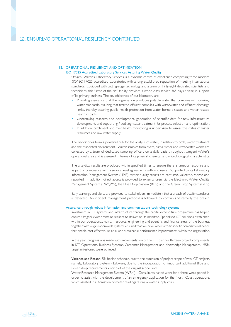## 12. ENSURING OPERATIONAL RESILIENCY CONTINUED

#### 12.1 OPERATIONAL RESILIENCY AND OPTIMISATION 12.1 OPERATIONAL RESILIENCY AND OPTIMISATION

#### ISO 17025 Accredited Laboratory Services Assuring Water Quality

Umgeni Water's Laboratory Services is a dynamic centre of excellence comprising three modern ISO/IEC 17025 accredited laboratories with a long established reputation of meeting international standards. Equipped with cutting-edge technology and a team of thirty-eight dedicated scientists and technicians, this "state-of-the-art" facility provides a world-class service 365 days a year, in support of its primary business. The key objectives of our laboratory are:

- Providing assurance that the organisation produces potable water that complies with drinking water standards, assuring that treated effluent complies with wastewater and effluent discharge limits, thereby assuring public health protection from water-borne diseases and water related health impacts.
- Undertaking research and development, generation of scientific data for new infrastructure development, and supporting / auditing water treatment for process selection and optimisation.
- In addition, catchment and river health monitoring is undertaken to assess the status of water resources and raw water supply.

The laboratories form a powerful hub for the analysis of water, in relation to both, water treatment and the associated environment. Water samples from rivers, dams, water and wastewater works are collected by a team of dedicated sampling officers on a daily basis throughout Umgeni Water's operational area and is assessed in terms of its physical, chemical and microbiological characteristics.

The analytical results are produced within specified times to ensure there is timeous response and as part of compliance with a service level agreements with end users. Supported by its Laboratory Information Management System (LIMS), water quality results are captured, validated, stored and reported. In addition, direct access is provided to external users via the Electronic Water Quality Management System (EWQMS), the Blue Drop System (BDS) and the Green Drop System (GDS).

Early warnings and alerts are provided to stakeholders immediately that a breach of quality standards is detected. An incident management protocol is followed, to contain and remedy the breach.

#### Assurance through robust information and communications technology systems

Investment in ICT systems and infrastructure through the capital expenditure programme has helped ensure Umgeni Water remains resilient to deliver on its mandate. Specialised ICT solutions established within our operational, human resource, engineering and scientific and finance areas of the business, together with organisation-wide systems ensured that we have systems to fit specific organisational needs that enable cost-effective, reliable, and sustainable performance improvements within the organisation.

In the year, progress was made with implementation of the ICT plan for thirteen project components in ICT Operations, Business Systems, Customer Management and Knowledge Management. 95% target milestones were achieved.

Variance and Reason: 5% behind schedule, due to the extension of project scope of two ICT projects, namely, Laboratory System - Labware, due to the incorporation of important additional Blue and Green drop requirements - not part of the original scope, and

Water Resource Management System (WRM) - Consultants halted work for a three-week period in order to assist with the development of an emergency application for the North Coast operations, which assisted in automation of meter readings during a water supply crisis.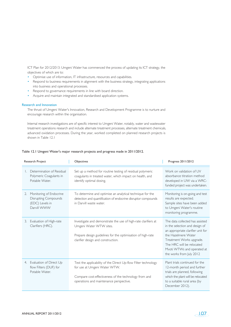ICT Plan for 2012/2013: Umgeni Water has commenced the process of updating its ICT strategy, the objectives of which are to:

- Optimise use of information, IT infrastructure, resources and capabilities.
- Respond to business requirements in alignment with the business strategy, integrating applications into business and operational processes.
- Respond to governance requirements in line with board direction.
- Acquire and maintain integrated and standardised application systems.

#### Research and Innovation

The thrust of Umgeni Water's Innovation, Research and Development Programme is to nurture and encourage research within the organisation.

Internal research investigations are of specific interest to Umgeni Water, notably, water and wastewater treatment operations research and include alternate treatment processes, alternate treatment chemicals, advanced oxidation processes. During the year, worked completed on planned research projects is shown in Table 12.1

| Research Project                                                                               | Objectives                                                                                                                                                                                         | Progress 2011/2012                                                                                                                                                                                                                               |
|------------------------------------------------------------------------------------------------|----------------------------------------------------------------------------------------------------------------------------------------------------------------------------------------------------|--------------------------------------------------------------------------------------------------------------------------------------------------------------------------------------------------------------------------------------------------|
| Determination of Residual<br>$\mathbf{L}$<br>Polymeric Coagulants in<br>Potable Water.         | Set up a method for routine testing of residual polymeric<br>coagulants in treated water, which impact on health, and<br>identify optimal dosing.                                                  | Work on validation of UV<br>absorbance titration method<br>developed in UW via a WRC-<br>funded project was undertaken.                                                                                                                          |
| Monitoring of Endocrine<br>2.<br><b>Disrupting Compounds</b><br>(EDC) Levels in<br>Darvill WWW | To determine and optimise an analytical technique for the<br>detection and quantification of endocrine disruptor compounds<br>in Darvill waste water.                                              | Monitoring is on-going and test<br>results are expected.<br>Sample sites have been added<br>to Umgeni Water's routine<br>monitoring programme.                                                                                                   |
| Evaluation of High-rate<br>3.<br>Clarifiers (HRC).                                             | Investigate and demonstrate the use of high-rate clarifiers at<br>Umgeni Water WTW sites.<br>Prepare design guidelines for the optimisation of high-rate<br>clarifier design and construction.     | The data collected has assisted<br>in the selection and design of<br>an appropriate clarifier unit for<br>the Hazelmere Water<br>Treatment Works upgrade.<br>The HRC will be relocated<br>Mvoti WTWs and operated at<br>the works from July 2012 |
| Evaluation of Direct Up<br>4.<br>flow Filters (DUF) for<br>Potable Water.                      | Test the applicability of the Direct Up-flow Filter technology<br>for use at Umgeni Water WTW.<br>Compare cost-effectiveness of the technology from and<br>operations and maintenance perspective. | Plant trials continued for the<br>12-month period and further<br>trials are planned, following<br>which the plant will be relocated<br>to a suitable rural area (by<br>December 2012).                                                           |

### Table 12.1 Umgeni Water's major research projects and progress made in 2011/2012.